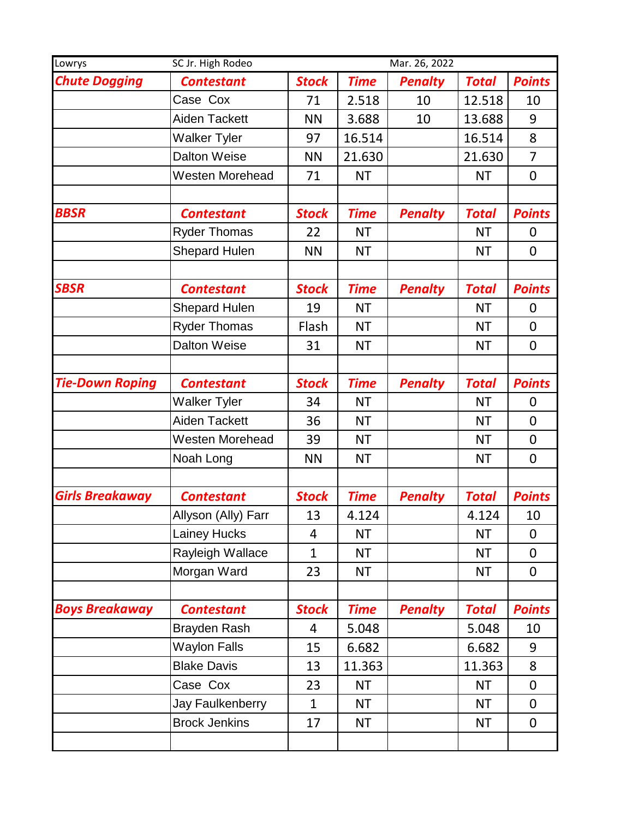| Lowrys                 | SC Jr. High Rodeo      |              |             | Mar. 26, 2022  |              |                |
|------------------------|------------------------|--------------|-------------|----------------|--------------|----------------|
| <b>Chute Dogging</b>   | <b>Contestant</b>      | <b>Stock</b> | <b>Time</b> | <b>Penalty</b> | <b>Total</b> | <b>Points</b>  |
|                        | Case Cox               | 71           | 2.518       | 10             | 12.518       | 10             |
|                        | Aiden Tackett          | <b>NN</b>    | 3.688       | 10             | 13.688       | 9              |
|                        | <b>Walker Tyler</b>    | 97           | 16.514      |                | 16.514       | 8              |
|                        | <b>Dalton Weise</b>    | <b>NN</b>    | 21.630      |                | 21.630       | $\overline{7}$ |
|                        | <b>Westen Morehead</b> | 71           | <b>NT</b>   |                | <b>NT</b>    | 0              |
|                        |                        |              |             |                |              |                |
| <b>BBSR</b>            | <b>Contestant</b>      | <b>Stock</b> | <b>Time</b> | <b>Penalty</b> | <b>Total</b> | <b>Points</b>  |
|                        | <b>Ryder Thomas</b>    | 22           | <b>NT</b>   |                | <b>NT</b>    | $\overline{0}$ |
|                        | <b>Shepard Hulen</b>   | <b>NN</b>    | <b>NT</b>   |                | <b>NT</b>    | 0              |
|                        |                        |              |             |                |              |                |
| <b>SBSR</b>            | <b>Contestant</b>      | <b>Stock</b> | <b>Time</b> | <b>Penalty</b> | <b>Total</b> | <b>Points</b>  |
|                        | <b>Shepard Hulen</b>   | 19           | <b>NT</b>   |                | ΝT           | 0              |
|                        | <b>Ryder Thomas</b>    | Flash        | <b>NT</b>   |                | <b>NT</b>    | 0              |
|                        | <b>Dalton Weise</b>    | 31           | <b>NT</b>   |                | <b>NT</b>    | 0              |
|                        |                        |              |             |                |              |                |
| <b>Tie-Down Roping</b> | <b>Contestant</b>      | <b>Stock</b> | <b>Time</b> | <b>Penalty</b> | <b>Total</b> | <b>Points</b>  |
|                        | <b>Walker Tyler</b>    | 34           | <b>NT</b>   |                | <b>NT</b>    | 0              |
|                        | <b>Aiden Tackett</b>   | 36           | <b>NT</b>   |                | <b>NT</b>    | 0              |
|                        | <b>Westen Morehead</b> | 39           | <b>NT</b>   |                | <b>NT</b>    | 0              |
|                        | Noah Long              | <b>NN</b>    | <b>NT</b>   |                | <b>NT</b>    | $\overline{0}$ |
|                        |                        |              |             |                |              |                |
| <b>Girls Breakaway</b> | <b>Contestant</b>      | <b>Stock</b> | <b>Time</b> | <b>Penalty</b> | <b>Total</b> | <b>Points</b>  |
|                        | Allyson (Ally) Farr    | 13           | 4.124       |                | 4.124        | 10             |
|                        | Lainey Hucks           | 4            | <b>NT</b>   |                | <b>NT</b>    | 0              |
|                        | Rayleigh Wallace       | 1            | <b>NT</b>   |                | <b>NT</b>    | 0              |
|                        | Morgan Ward            | 23           | <b>NT</b>   |                | <b>NT</b>    | 0              |
|                        |                        |              |             |                |              |                |
| <b>Boys Breakaway</b>  | <b>Contestant</b>      | <b>Stock</b> | <b>Time</b> | <b>Penalty</b> | <b>Total</b> | <b>Points</b>  |
|                        | Brayden Rash           | 4            | 5.048       |                | 5.048        | 10             |
|                        | <b>Waylon Falls</b>    | 15           | 6.682       |                | 6.682        | 9              |
|                        | <b>Blake Davis</b>     | 13           | 11.363      |                | 11.363       | 8              |
|                        | Case Cox               | 23           | <b>NT</b>   |                | <b>NT</b>    | $\mathbf 0$    |
|                        | Jay Faulkenberry       | $\mathbf{1}$ | <b>NT</b>   |                | <b>NT</b>    | $\overline{0}$ |
|                        | <b>Brock Jenkins</b>   | 17           | <b>NT</b>   |                | <b>NT</b>    | 0              |
|                        |                        |              |             |                |              |                |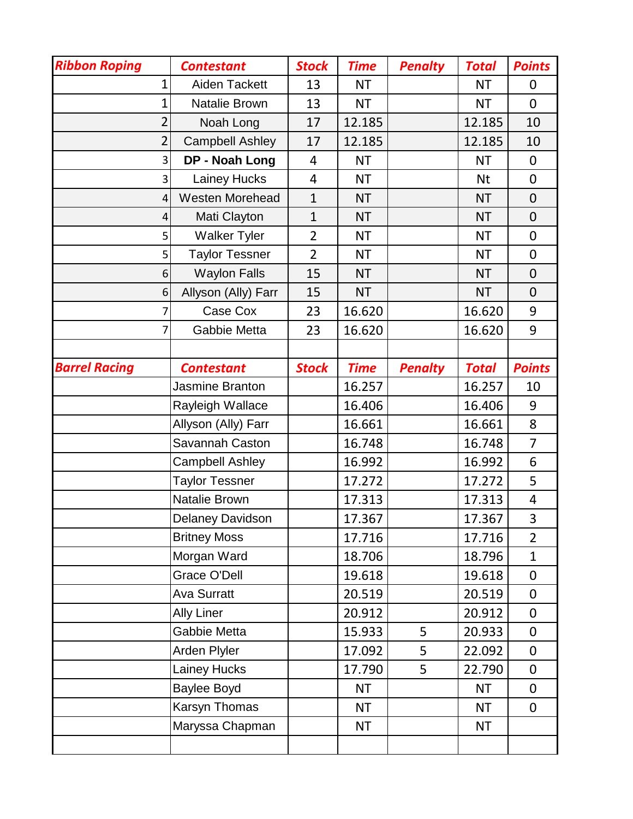| <b>Ribbon Roping</b> | <b>Contestant</b>      | <b>Stock</b>   | <b>Time</b> | <b>Penalty</b> | <b>Total</b> | <b>Points</b>  |
|----------------------|------------------------|----------------|-------------|----------------|--------------|----------------|
| 1                    | <b>Aiden Tackett</b>   | 13             | <b>NT</b>   |                | <b>NT</b>    | 0              |
| 1                    | Natalie Brown          | 13             | <b>NT</b>   |                | <b>NT</b>    | $\overline{0}$ |
| $\overline{2}$       | Noah Long              | 17             | 12.185      |                | 12.185       | 10             |
| $\overline{2}$       | <b>Campbell Ashley</b> | 17             | 12.185      |                | 12.185       | 10             |
| 3                    | DP - Noah Long         | 4              | <b>NT</b>   |                | <b>NT</b>    | 0              |
| 3                    | Lainey Hucks           | 4              | <b>NT</b>   |                | Nt           | 0              |
| 4                    | Westen Morehead        | $\mathbf{1}$   | <b>NT</b>   |                | <b>NT</b>    | $\overline{0}$ |
| 4                    | Mati Clayton           | $\mathbf{1}$   | <b>NT</b>   |                | <b>NT</b>    | $\mathbf 0$    |
| 5                    | <b>Walker Tyler</b>    | $\overline{2}$ | <b>NT</b>   |                | <b>NT</b>    | 0              |
| 5                    | <b>Taylor Tessner</b>  | $\overline{2}$ | <b>NT</b>   |                | <b>NT</b>    | 0              |
| 6                    | <b>Waylon Falls</b>    | 15             | <b>NT</b>   |                | <b>NT</b>    | 0              |
| 6                    | Allyson (Ally) Farr    | 15             | <b>NT</b>   |                | <b>NT</b>    | $\mathbf 0$    |
|                      | Case Cox               | 23             | 16.620      |                | 16.620       | 9              |
|                      | Gabbie Metta           | 23             | 16.620      |                | 16.620       | 9              |
|                      |                        |                |             |                |              |                |
| <b>Barrel Racing</b> | <b>Contestant</b>      | <b>Stock</b>   | <b>Time</b> | <b>Penalty</b> | <b>Total</b> | <b>Points</b>  |
|                      | Jasmine Branton        |                | 16.257      |                | 16.257       | 10             |
|                      | Rayleigh Wallace       |                | 16.406      |                | 16.406       | 9              |
|                      | Allyson (Ally) Farr    |                | 16.661      |                | 16.661       | 8              |
|                      | Savannah Caston        |                | 16.748      |                | 16.748       | $\overline{7}$ |
|                      | <b>Campbell Ashley</b> |                | 16.992      |                | 16.992       | 6              |
|                      | <b>Taylor Tessner</b>  |                | 17.272      |                | 17.272       | 5              |
|                      | Natalie Brown          |                | 17.313      |                | 17.313       | 4              |
|                      | Delaney Davidson       |                | 17.367      |                | 17.367       | 3              |
|                      | <b>Britney Moss</b>    |                | 17.716      |                | 17.716       | $\overline{2}$ |
|                      | Morgan Ward            |                | 18.706      |                | 18.796       | $\mathbf{1}$   |
|                      | <b>Grace O'Dell</b>    |                | 19.618      |                | 19.618       | 0              |
|                      | <b>Ava Surratt</b>     |                | 20.519      |                | 20.519       | 0              |
|                      | <b>Ally Liner</b>      |                | 20.912      |                | 20.912       | 0              |
|                      | Gabbie Metta           |                | 15.933      | 5              | 20.933       | $\mathbf 0$    |
|                      | Arden Plyler           |                | 17.092      | 5              | 22.092       | 0              |
|                      | <b>Lainey Hucks</b>    |                | 17.790      | 5              | 22.790       | 0              |
|                      | <b>Baylee Boyd</b>     |                | <b>NT</b>   |                | <b>NT</b>    | 0              |
|                      | Karsyn Thomas          |                | <b>NT</b>   |                | <b>NT</b>    | $\overline{0}$ |
|                      | Maryssa Chapman        |                | <b>NT</b>   |                | <b>NT</b>    |                |
|                      |                        |                |             |                |              |                |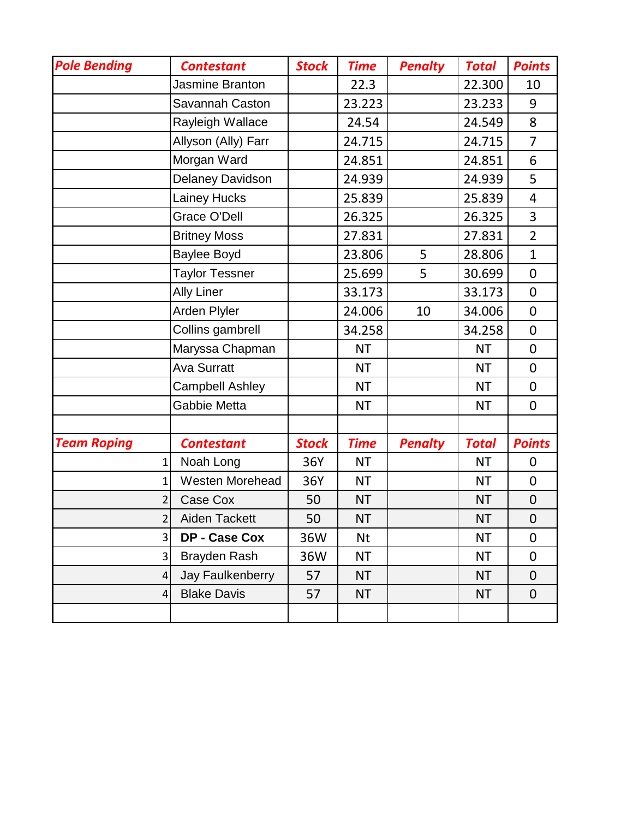| <b>Pole Bending</b> | <b>Contestant</b>       | <b>Stock</b> | <b>Time</b> | <b>Penalty</b> | <b>Total</b> | <b>Points</b>  |
|---------------------|-------------------------|--------------|-------------|----------------|--------------|----------------|
|                     | Jasmine Branton         |              | 22.3        |                | 22.300       | 10             |
|                     | Savannah Caston         |              | 23.223      |                | 23.233       | 9              |
|                     | Rayleigh Wallace        |              | 24.54       |                | 24.549       | 8              |
|                     | Allyson (Ally) Farr     |              | 24.715      |                | 24.715       | $\overline{7}$ |
|                     | Morgan Ward             |              | 24.851      |                | 24.851       | 6              |
|                     | <b>Delaney Davidson</b> |              | 24.939      |                | 24.939       | 5              |
|                     | Lainey Hucks            |              | 25.839      |                | 25.839       | $\overline{4}$ |
|                     | <b>Grace O'Dell</b>     |              | 26.325      |                | 26.325       | 3              |
|                     | <b>Britney Moss</b>     |              | 27.831      |                | 27.831       | $\overline{2}$ |
|                     | Baylee Boyd             |              | 23.806      | 5              | 28.806       | $\mathbf{1}$   |
|                     | <b>Taylor Tessner</b>   |              | 25.699      | 5              | 30.699       | 0              |
|                     | <b>Ally Liner</b>       |              | 33.173      |                | 33.173       | $\overline{0}$ |
|                     | Arden Plyler            |              | 24.006      | 10             | 34.006       | 0              |
|                     | Collins gambrell        |              | 34.258      |                | 34.258       | 0              |
|                     | Maryssa Chapman         |              | <b>NT</b>   |                | <b>NT</b>    | 0              |
|                     | <b>Ava Surratt</b>      |              | <b>NT</b>   |                | <b>NT</b>    | $\overline{0}$ |
|                     | <b>Campbell Ashley</b>  |              | <b>NT</b>   |                | <b>NT</b>    | 0              |
|                     | Gabbie Metta            |              | ΝT          |                | <b>NT</b>    | 0              |
|                     |                         |              |             |                |              |                |
| <b>Team Roping</b>  | <b>Contestant</b>       | <b>Stock</b> | <b>Time</b> | <b>Penalty</b> | <b>Total</b> | <b>Points</b>  |
| $\mathbf{1}$        | Noah Long               | 36Y          | <b>NT</b>   |                | <b>NT</b>    | $\mathbf 0$    |
| $\mathbf{1}$        | Westen Morehead         | 36Y          | <b>NT</b>   |                | <b>NT</b>    | $\overline{0}$ |
| $\overline{2}$      | Case Cox                | 50           | NT          |                | <b>NT</b>    | $\mathbf 0$    |
| $\overline{2}$      | Aiden Tackett           | 50           | <b>NT</b>   |                | <b>NT</b>    | $\pmb{0}$      |
| 3                   | DP - Case Cox           | 36W          | Nt          |                | <b>NT</b>    | 0              |
| 3                   | Brayden Rash            | 36W          | NT          |                | <b>NT</b>    | $\mathbf 0$    |
| 4                   | Jay Faulkenberry        | 57           | <b>NT</b>   |                | <b>NT</b>    | 0              |
| 4                   | <b>Blake Davis</b>      | 57           | <b>NT</b>   |                | <b>NT</b>    | $\mathbf 0$    |
|                     |                         |              |             |                |              |                |